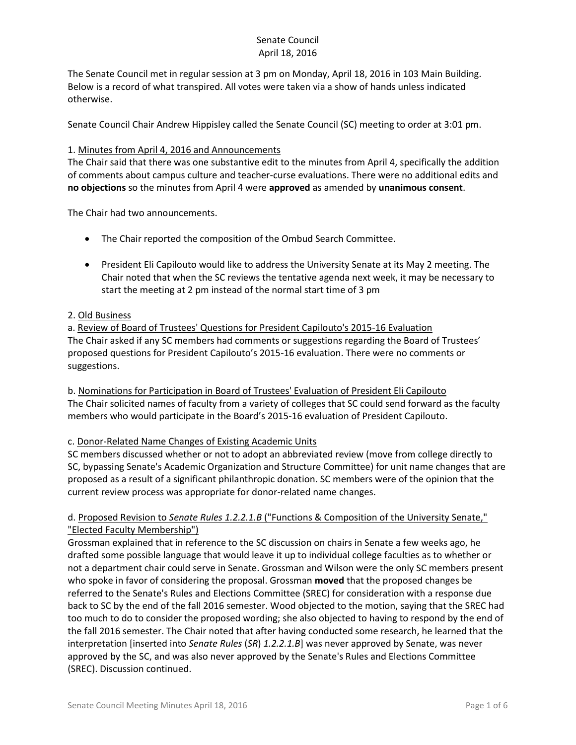The Senate Council met in regular session at 3 pm on Monday, April 18, 2016 in 103 Main Building. Below is a record of what transpired. All votes were taken via a show of hands unless indicated otherwise.

Senate Council Chair Andrew Hippisley called the Senate Council (SC) meeting to order at 3:01 pm.

#### 1. Minutes from April 4, 2016 and Announcements

The Chair said that there was one substantive edit to the minutes from April 4, specifically the addition of comments about campus culture and teacher-curse evaluations. There were no additional edits and **no objections** so the minutes from April 4 were **approved** as amended by **unanimous consent**.

The Chair had two announcements.

- The Chair reported the composition of the Ombud Search Committee.
- President Eli Capilouto would like to address the University Senate at its May 2 meeting. The Chair noted that when the SC reviews the tentative agenda next week, it may be necessary to start the meeting at 2 pm instead of the normal start time of 3 pm

### 2. Old Business

a. Review of Board of Trustees' Questions for President Capilouto's 2015-16 Evaluation The Chair asked if any SC members had comments or suggestions regarding the Board of Trustees' proposed questions for President Capilouto's 2015-16 evaluation. There were no comments or suggestions.

b. Nominations for Participation in Board of Trustees' Evaluation of President Eli Capilouto The Chair solicited names of faculty from a variety of colleges that SC could send forward as the faculty members who would participate in the Board's 2015-16 evaluation of President Capilouto.

### c. Donor-Related Name Changes of Existing Academic Units

SC members discussed whether or not to adopt an abbreviated review (move from college directly to SC, bypassing Senate's Academic Organization and Structure Committee) for unit name changes that are proposed as a result of a significant philanthropic donation. SC members were of the opinion that the current review process was appropriate for donor-related name changes.

### d. Proposed Revision to *Senate Rules 1.2.2.1.B* ("Functions & Composition of the University Senate," "Elected Faculty Membership")

Grossman explained that in reference to the SC discussion on chairs in Senate a few weeks ago, he drafted some possible language that would leave it up to individual college faculties as to whether or not a department chair could serve in Senate. Grossman and Wilson were the only SC members present who spoke in favor of considering the proposal. Grossman **moved** that the proposed changes be referred to the Senate's Rules and Elections Committee (SREC) for consideration with a response due back to SC by the end of the fall 2016 semester. Wood objected to the motion, saying that the SREC had too much to do to consider the proposed wording; she also objected to having to respond by the end of the fall 2016 semester. The Chair noted that after having conducted some research, he learned that the interpretation [inserted into *Senate Rules* (*SR*) *1.2.2.1.B*] was never approved by Senate, was never approved by the SC, and was also never approved by the Senate's Rules and Elections Committee (SREC). Discussion continued.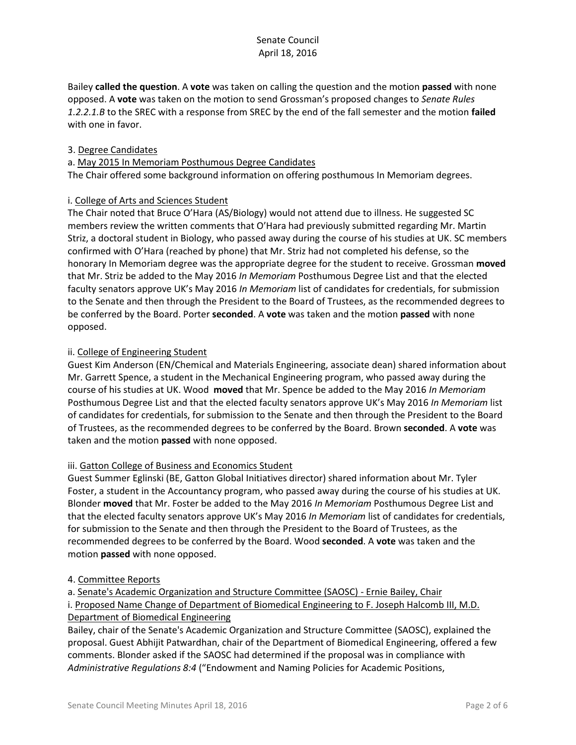Bailey **called the question**. A **vote** was taken on calling the question and the motion **passed** with none opposed. A **vote** was taken on the motion to send Grossman's proposed changes to *Senate Rules 1.2.2.1.B* to the SREC with a response from SREC by the end of the fall semester and the motion **failed** with one in favor.

### 3. Degree Candidates

#### a. May 2015 In Memoriam Posthumous Degree Candidates

The Chair offered some background information on offering posthumous In Memoriam degrees.

### i. College of Arts and Sciences Student

The Chair noted that Bruce O'Hara (AS/Biology) would not attend due to illness. He suggested SC members review the written comments that O'Hara had previously submitted regarding Mr. Martin Striz, a doctoral student in Biology, who passed away during the course of his studies at UK. SC members confirmed with O'Hara (reached by phone) that Mr. Striz had not completed his defense, so the honorary In Memoriam degree was the appropriate degree for the student to receive. Grossman **moved** that Mr. Striz be added to the May 2016 *In Memoriam* Posthumous Degree List and that the elected faculty senators approve UK's May 2016 *In Memoriam* list of candidates for credentials, for submission to the Senate and then through the President to the Board of Trustees, as the recommended degrees to be conferred by the Board. Porter **seconded**. A **vote** was taken and the motion **passed** with none opposed.

### ii. College of Engineering Student

Guest Kim Anderson (EN/Chemical and Materials Engineering, associate dean) shared information about Mr. Garrett Spence, a student in the Mechanical Engineering program, who passed away during the course of his studies at UK. Wood **moved** that Mr. Spence be added to the May 2016 *In Memoriam* Posthumous Degree List and that the elected faculty senators approve UK's May 2016 *In Memoriam* list of candidates for credentials, for submission to the Senate and then through the President to the Board of Trustees, as the recommended degrees to be conferred by the Board. Brown **seconded**. A **vote** was taken and the motion **passed** with none opposed.

### iii. Gatton College of Business and Economics Student

Guest Summer Eglinski (BE, Gatton Global Initiatives director) shared information about Mr. Tyler Foster, a student in the Accountancy program, who passed away during the course of his studies at UK. Blonder **moved** that Mr. Foster be added to the May 2016 *In Memoriam* Posthumous Degree List and that the elected faculty senators approve UK's May 2016 *In Memoriam* list of candidates for credentials, for submission to the Senate and then through the President to the Board of Trustees, as the recommended degrees to be conferred by the Board. Wood **seconded**. A **vote** was taken and the motion **passed** with none opposed.

### 4. Committee Reports

a. Senate's Academic Organization and Structure Committee (SAOSC) - Ernie Bailey, Chair i. Proposed Name Change of Department of Biomedical Engineering to F. Joseph Halcomb III, M.D. Department of Biomedical Engineering

Bailey, chair of the Senate's Academic Organization and Structure Committee (SAOSC), explained the proposal. Guest Abhijit Patwardhan, chair of the Department of Biomedical Engineering, offered a few comments. Blonder asked if the SAOSC had determined if the proposal was in compliance with *Administrative Regulations 8:4* ("Endowment and Naming Policies for Academic Positions,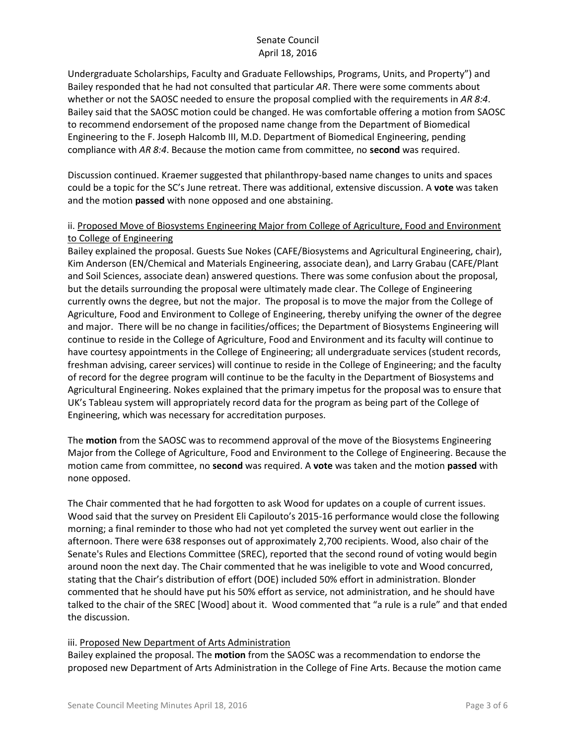Undergraduate Scholarships, Faculty and Graduate Fellowships, Programs, Units, and Property") and Bailey responded that he had not consulted that particular *AR*. There were some comments about whether or not the SAOSC needed to ensure the proposal complied with the requirements in *AR 8:4*. Bailey said that the SAOSC motion could be changed. He was comfortable offering a motion from SAOSC to recommend endorsement of the proposed name change from the Department of Biomedical Engineering to the F. Joseph Halcomb III, M.D. Department of Biomedical Engineering, pending compliance with *AR 8:4*. Because the motion came from committee, no **second** was required.

Discussion continued. Kraemer suggested that philanthropy-based name changes to units and spaces could be a topic for the SC's June retreat. There was additional, extensive discussion. A **vote** was taken and the motion **passed** with none opposed and one abstaining.

### ii. Proposed Move of Biosystems Engineering Major from College of Agriculture, Food and Environment to College of Engineering

Bailey explained the proposal. Guests Sue Nokes (CAFE/Biosystems and Agricultural Engineering, chair), Kim Anderson (EN/Chemical and Materials Engineering, associate dean), and Larry Grabau (CAFE/Plant and Soil Sciences, associate dean) answered questions. There was some confusion about the proposal, but the details surrounding the proposal were ultimately made clear. The College of Engineering currently owns the degree, but not the major. The proposal is to move the major from the College of Agriculture, Food and Environment to College of Engineering, thereby unifying the owner of the degree and major. There will be no change in facilities/offices; the Department of Biosystems Engineering will continue to reside in the College of Agriculture, Food and Environment and its faculty will continue to have courtesy appointments in the College of Engineering; all undergraduate services (student records, freshman advising, career services) will continue to reside in the College of Engineering; and the faculty of record for the degree program will continue to be the faculty in the Department of Biosystems and Agricultural Engineering. Nokes explained that the primary impetus for the proposal was to ensure that UK's Tableau system will appropriately record data for the program as being part of the College of Engineering, which was necessary for accreditation purposes.

The **motion** from the SAOSC was to recommend approval of the move of the Biosystems Engineering Major from the College of Agriculture, Food and Environment to the College of Engineering. Because the motion came from committee, no **second** was required. A **vote** was taken and the motion **passed** with none opposed.

The Chair commented that he had forgotten to ask Wood for updates on a couple of current issues. Wood said that the survey on President Eli Capilouto's 2015-16 performance would close the following morning; a final reminder to those who had not yet completed the survey went out earlier in the afternoon. There were 638 responses out of approximately 2,700 recipients. Wood, also chair of the Senate's Rules and Elections Committee (SREC), reported that the second round of voting would begin around noon the next day. The Chair commented that he was ineligible to vote and Wood concurred, stating that the Chair's distribution of effort (DOE) included 50% effort in administration. Blonder commented that he should have put his 50% effort as service, not administration, and he should have talked to the chair of the SREC [Wood] about it. Wood commented that "a rule is a rule" and that ended the discussion.

### iii. Proposed New Department of Arts Administration

Bailey explained the proposal. The **motion** from the SAOSC was a recommendation to endorse the proposed new Department of Arts Administration in the College of Fine Arts. Because the motion came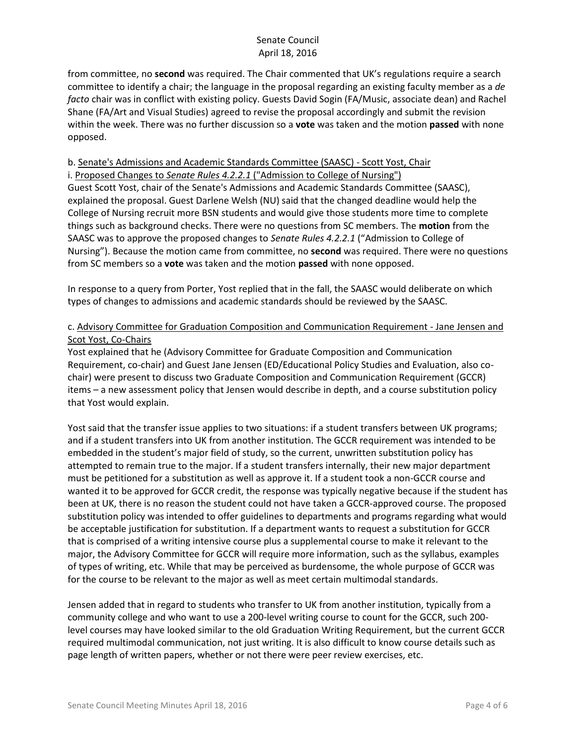from committee, no **second** was required. The Chair commented that UK's regulations require a search committee to identify a chair; the language in the proposal regarding an existing faculty member as a *de facto* chair was in conflict with existing policy. Guests David Sogin (FA/Music, associate dean) and Rachel Shane (FA/Art and Visual Studies) agreed to revise the proposal accordingly and submit the revision within the week. There was no further discussion so a **vote** was taken and the motion **passed** with none opposed.

## b. Senate's Admissions and Academic Standards Committee (SAASC) - Scott Yost, Chair

i. Proposed Changes to *Senate Rules 4.2.2.1* ("Admission to College of Nursing") Guest Scott Yost, chair of the Senate's Admissions and Academic Standards Committee (SAASC), explained the proposal. Guest Darlene Welsh (NU) said that the changed deadline would help the College of Nursing recruit more BSN students and would give those students more time to complete things such as background checks. There were no questions from SC members. The **motion** from the SAASC was to approve the proposed changes to *Senate Rules 4.2.2.1* ("Admission to College of Nursing"). Because the motion came from committee, no **second** was required. There were no questions from SC members so a **vote** was taken and the motion **passed** with none opposed.

In response to a query from Porter, Yost replied that in the fall, the SAASC would deliberate on which types of changes to admissions and academic standards should be reviewed by the SAASC.

## c. Advisory Committee for Graduation Composition and Communication Requirement - Jane Jensen and Scot Yost, Co-Chairs

Yost explained that he (Advisory Committee for Graduate Composition and Communication Requirement, co-chair) and Guest Jane Jensen (ED/Educational Policy Studies and Evaluation, also cochair) were present to discuss two Graduate Composition and Communication Requirement (GCCR) items – a new assessment policy that Jensen would describe in depth, and a course substitution policy that Yost would explain.

Yost said that the transfer issue applies to two situations: if a student transfers between UK programs; and if a student transfers into UK from another institution. The GCCR requirement was intended to be embedded in the student's major field of study, so the current, unwritten substitution policy has attempted to remain true to the major. If a student transfers internally, their new major department must be petitioned for a substitution as well as approve it. If a student took a non-GCCR course and wanted it to be approved for GCCR credit, the response was typically negative because if the student has been at UK, there is no reason the student could not have taken a GCCR-approved course. The proposed substitution policy was intended to offer guidelines to departments and programs regarding what would be acceptable justification for substitution. If a department wants to request a substitution for GCCR that is comprised of a writing intensive course plus a supplemental course to make it relevant to the major, the Advisory Committee for GCCR will require more information, such as the syllabus, examples of types of writing, etc. While that may be perceived as burdensome, the whole purpose of GCCR was for the course to be relevant to the major as well as meet certain multimodal standards.

Jensen added that in regard to students who transfer to UK from another institution, typically from a community college and who want to use a 200-level writing course to count for the GCCR, such 200 level courses may have looked similar to the old Graduation Writing Requirement, but the current GCCR required multimodal communication, not just writing. It is also difficult to know course details such as page length of written papers, whether or not there were peer review exercises, etc.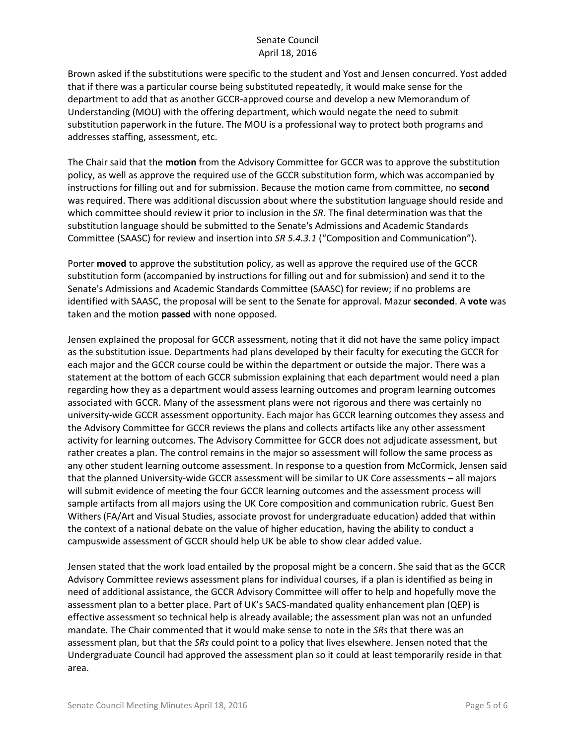Brown asked if the substitutions were specific to the student and Yost and Jensen concurred. Yost added that if there was a particular course being substituted repeatedly, it would make sense for the department to add that as another GCCR-approved course and develop a new Memorandum of Understanding (MOU) with the offering department, which would negate the need to submit substitution paperwork in the future. The MOU is a professional way to protect both programs and addresses staffing, assessment, etc.

The Chair said that the **motion** from the Advisory Committee for GCCR was to approve the substitution policy, as well as approve the required use of the GCCR substitution form, which was accompanied by instructions for filling out and for submission. Because the motion came from committee, no **second** was required. There was additional discussion about where the substitution language should reside and which committee should review it prior to inclusion in the *SR*. The final determination was that the substitution language should be submitted to the Senate's Admissions and Academic Standards Committee (SAASC) for review and insertion into *SR 5.4.3.1* ("Composition and Communication").

Porter **moved** to approve the substitution policy, as well as approve the required use of the GCCR substitution form (accompanied by instructions for filling out and for submission) and send it to the Senate's Admissions and Academic Standards Committee (SAASC) for review; if no problems are identified with SAASC, the proposal will be sent to the Senate for approval. Mazur **seconded**. A **vote** was taken and the motion **passed** with none opposed.

Jensen explained the proposal for GCCR assessment, noting that it did not have the same policy impact as the substitution issue. Departments had plans developed by their faculty for executing the GCCR for each major and the GCCR course could be within the department or outside the major. There was a statement at the bottom of each GCCR submission explaining that each department would need a plan regarding how they as a department would assess learning outcomes and program learning outcomes associated with GCCR. Many of the assessment plans were not rigorous and there was certainly no university-wide GCCR assessment opportunity. Each major has GCCR learning outcomes they assess and the Advisory Committee for GCCR reviews the plans and collects artifacts like any other assessment activity for learning outcomes. The Advisory Committee for GCCR does not adjudicate assessment, but rather creates a plan. The control remains in the major so assessment will follow the same process as any other student learning outcome assessment. In response to a question from McCormick, Jensen said that the planned University-wide GCCR assessment will be similar to UK Core assessments – all majors will submit evidence of meeting the four GCCR learning outcomes and the assessment process will sample artifacts from all majors using the UK Core composition and communication rubric. Guest Ben Withers (FA/Art and Visual Studies, associate provost for undergraduate education) added that within the context of a national debate on the value of higher education, having the ability to conduct a campuswide assessment of GCCR should help UK be able to show clear added value.

Jensen stated that the work load entailed by the proposal might be a concern. She said that as the GCCR Advisory Committee reviews assessment plans for individual courses, if a plan is identified as being in need of additional assistance, the GCCR Advisory Committee will offer to help and hopefully move the assessment plan to a better place. Part of UK's SACS-mandated quality enhancement plan (QEP) is effective assessment so technical help is already available; the assessment plan was not an unfunded mandate. The Chair commented that it would make sense to note in the *SRs* that there was an assessment plan, but that the *SRs* could point to a policy that lives elsewhere. Jensen noted that the Undergraduate Council had approved the assessment plan so it could at least temporarily reside in that area.